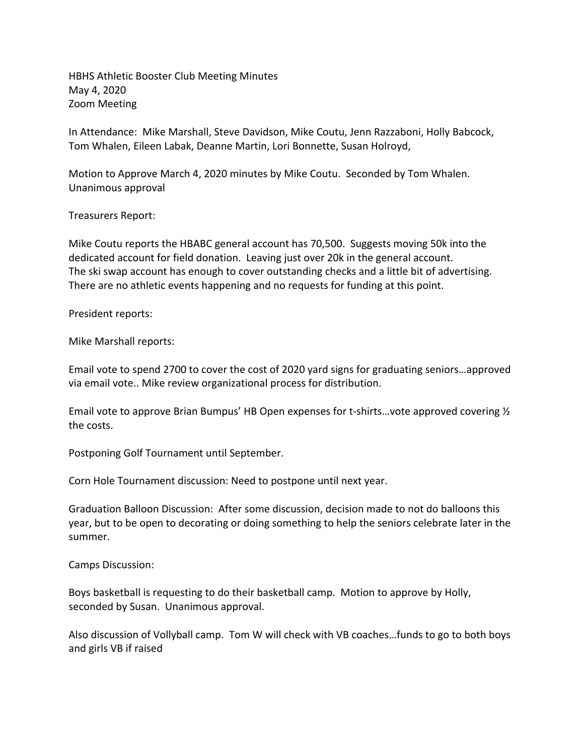HBHS Athletic Booster Club Meeting Minutes May 4, 2020 Zoom Meeting

In Attendance: Mike Marshall, Steve Davidson, Mike Coutu, Jenn Razzaboni, Holly Babcock, Tom Whalen, Eileen Labak, Deanne Martin, Lori Bonnette, Susan Holroyd,

Motion to Approve March 4, 2020 minutes by Mike Coutu. Seconded by Tom Whalen. Unanimous approval

Treasurers Report:

Mike Coutu reports the HBABC general account has 70,500. Suggests moving 50k into the dedicated account for field donation. Leaving just over 20k in the general account. The ski swap account has enough to cover outstanding checks and a little bit of advertising. There are no athletic events happening and no requests for funding at this point.

President reports:

Mike Marshall reports:

Email vote to spend 2700 to cover the cost of 2020 yard signs for graduating seniors…approved via email vote.. Mike review organizational process for distribution.

Email vote to approve Brian Bumpus' HB Open expenses for t-shirts…vote approved covering ½ the costs.

Postponing Golf Tournament until September.

Corn Hole Tournament discussion: Need to postpone until next year.

Graduation Balloon Discussion: After some discussion, decision made to not do balloons this year, but to be open to decorating or doing something to help the seniors celebrate later in the summer.

Camps Discussion:

Boys basketball is requesting to do their basketball camp. Motion to approve by Holly, seconded by Susan. Unanimous approval.

Also discussion of Vollyball camp. Tom W will check with VB coaches…funds to go to both boys and girls VB if raised